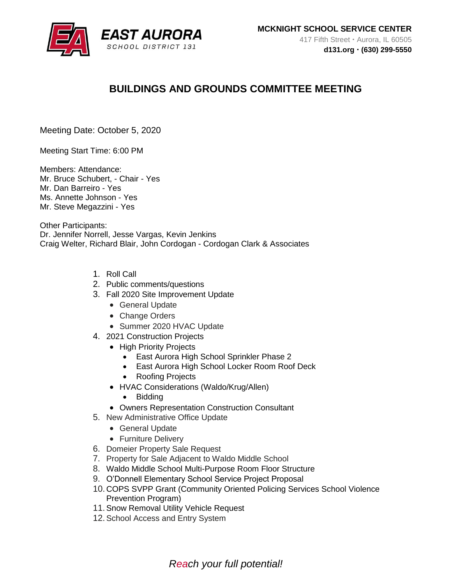

# **BUILDINGS AND GROUNDS COMMITTEE MEETING**

Meeting Date: October 5, 2020

Meeting Start Time: 6:00 PM

Members: Attendance: Mr. Bruce Schubert, - Chair - Yes Mr. Dan Barreiro - Yes Ms. Annette Johnson - Yes Mr. Steve Megazzini - Yes

Other Participants: Dr. Jennifer Norrell, Jesse Vargas, Kevin Jenkins Craig Welter, Richard Blair, John Cordogan - Cordogan Clark & Associates

- 1. Roll Call
- 2. Public comments/questions
- 3. Fall 2020 Site Improvement Update
	- General Update
	- Change Orders
	- Summer 2020 HVAC Update
- 4. 2021 Construction Projects
	- High Priority Projects
		- East Aurora High School Sprinkler Phase 2
		- East Aurora High School Locker Room Roof Deck
		- Roofing Projects
	- HVAC Considerations (Waldo/Krug/Allen)
		- Bidding
	- Owners Representation Construction Consultant
- 5. New Administrative Office Update
	- General Update
	- Furniture Delivery
- 6. Domeier Property Sale Request
- 7. Property for Sale Adjacent to Waldo Middle School
- 8. Waldo Middle School Multi-Purpose Room Floor Structure
- 9. O'Donnell Elementary School Service Project Proposal
- 10. COPS SVPP Grant (Community Oriented Policing Services School Violence Prevention Program)
- 11.Snow Removal Utility Vehicle Request
- 12.School Access and Entry System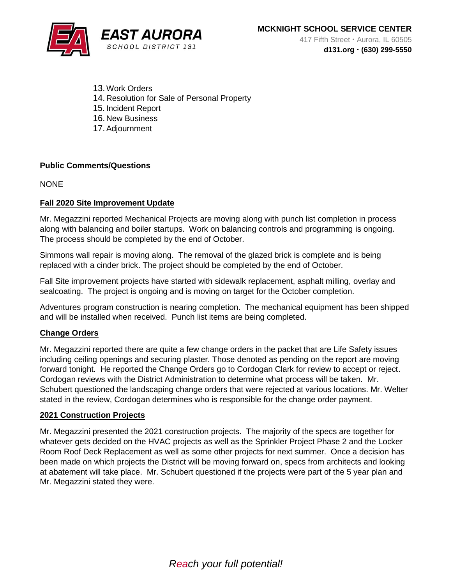

- 13.Work Orders 14. Resolution for Sale of Personal Property 15. Incident Report 16. New Business
- 17.Adjournment

### **Public Comments/Questions**

**NONE** 

### **Fall 2020 Site Improvement Update**

Mr. Megazzini reported Mechanical Projects are moving along with punch list completion in process along with balancing and boiler startups. Work on balancing controls and programming is ongoing. The process should be completed by the end of October.

Simmons wall repair is moving along. The removal of the glazed brick is complete and is being replaced with a cinder brick. The project should be completed by the end of October.

Fall Site improvement projects have started with sidewalk replacement, asphalt milling, overlay and sealcoating. The project is ongoing and is moving on target for the October completion.

Adventures program construction is nearing completion. The mechanical equipment has been shipped and will be installed when received. Punch list items are being completed.

#### **Change Orders**

Mr. Megazzini reported there are quite a few change orders in the packet that are Life Safety issues including ceiling openings and securing plaster. Those denoted as pending on the report are moving forward tonight. He reported the Change Orders go to Cordogan Clark for review to accept or reject. Cordogan reviews with the District Administration to determine what process will be taken. Mr. Schubert questioned the landscaping change orders that were rejected at various locations. Mr. Welter stated in the review, Cordogan determines who is responsible for the change order payment.

#### **2021 Construction Projects**

Mr. Megazzini presented the 2021 construction projects. The majority of the specs are together for whatever gets decided on the HVAC projects as well as the Sprinkler Project Phase 2 and the Locker Room Roof Deck Replacement as well as some other projects for next summer. Once a decision has been made on which projects the District will be moving forward on, specs from architects and looking at abatement will take place. Mr. Schubert questioned if the projects were part of the 5 year plan and Mr. Megazzini stated they were.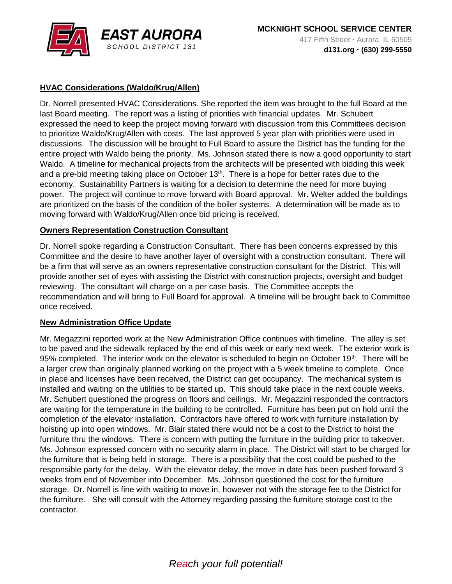

## **HVAC Considerations (Waldo/Krug/Allen)**

Dr. Norrell presented HVAC Considerations. She reported the item was brought to the full Board at the last Board meeting. The report was a listing of priorities with financial updates. Mr. Schubert expressed the need to keep the project moving forward with discussion from this Committees decision to prioritize Waldo/Krug/Allen with costs. The last approved 5 year plan with priorities were used in discussions. The discussion will be brought to Full Board to assure the District has the funding for the entire project with Waldo being the priority. Ms. Johnson stated there is now a good opportunity to start Waldo. A timeline for mechanical projects from the architects will be presented with bidding this week and a pre-bid meeting taking place on October  $13<sup>th</sup>$ . There is a hope for better rates due to the economy. Sustainability Partners is waiting for a decision to determine the need for more buying power. The project will continue to move forward with Board approval. Mr. Welter added the buildings are prioritized on the basis of the condition of the boiler systems. A determination will be made as to moving forward with Waldo/Krug/Allen once bid pricing is received.

### **Owners Representation Construction Consultant**

Dr. Norrell spoke regarding a Construction Consultant. There has been concerns expressed by this Committee and the desire to have another layer of oversight with a construction consultant. There will be a firm that will serve as an owners representative construction consultant for the District. This will provide another set of eyes with assisting the District with construction projects, oversight and budget reviewing. The consultant will charge on a per case basis. The Committee accepts the recommendation and will bring to Full Board for approval. A timeline will be brought back to Committee once received.

#### **New Administration Office Update**

Mr. Megazzini reported work at the New Administration Office continues with timeline. The alley is set to be paved and the sidewalk replaced by the end of this week or early next week. The exterior work is 95% completed. The interior work on the elevator is scheduled to begin on October 19<sup>th</sup>. There will be a larger crew than originally planned working on the project with a 5 week timeline to complete. Once in place and licenses have been received, the District can get occupancy. The mechanical system is installed and waiting on the utilities to be started up. This should take place in the next couple weeks. Mr. Schubert questioned the progress on floors and ceilings. Mr. Megazzini responded the contractors are waiting for the temperature in the building to be controlled. Furniture has been put on hold until the completion of the elevator installation. Contractors have offered to work with furniture installation by hoisting up into open windows. Mr. Blair stated there would not be a cost to the District to hoist the furniture thru the windows. There is concern with putting the furniture in the building prior to takeover. Ms. Johnson expressed concern with no security alarm in place. The District will start to be charged for the furniture that is being held in storage. There is a possibility that the cost could be pushed to the responsible party for the delay. With the elevator delay, the move in date has been pushed forward 3 weeks from end of November into December. Ms. Johnson questioned the cost for the furniture storage. Dr. Norrell is fine with waiting to move in, however not with the storage fee to the District for the furniture. She will consult with the Attorney regarding passing the furniture storage cost to the contractor.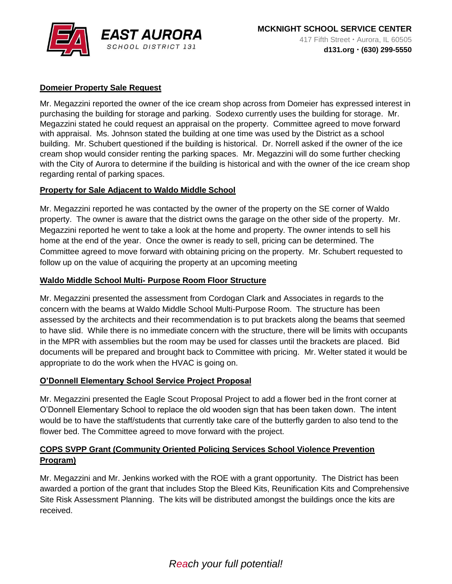

## **Domeier Property Sale Request**

Mr. Megazzini reported the owner of the ice cream shop across from Domeier has expressed interest in purchasing the building for storage and parking. Sodexo currently uses the building for storage. Mr. Megazzini stated he could request an appraisal on the property. Committee agreed to move forward with appraisal. Ms. Johnson stated the building at one time was used by the District as a school building. Mr. Schubert questioned if the building is historical. Dr. Norrell asked if the owner of the ice cream shop would consider renting the parking spaces. Mr. Megazzini will do some further checking with the City of Aurora to determine if the building is historical and with the owner of the ice cream shop regarding rental of parking spaces.

### **Property for Sale Adjacent to Waldo Middle School**

Mr. Megazzini reported he was contacted by the owner of the property on the SE corner of Waldo property. The owner is aware that the district owns the garage on the other side of the property. Mr. Megazzini reported he went to take a look at the home and property. The owner intends to sell his home at the end of the year. Once the owner is ready to sell, pricing can be determined. The Committee agreed to move forward with obtaining pricing on the property. Mr. Schubert requested to follow up on the value of acquiring the property at an upcoming meeting

#### **Waldo Middle School Multi- Purpose Room Floor Structure**

Mr. Megazzini presented the assessment from Cordogan Clark and Associates in regards to the concern with the beams at Waldo Middle School Multi-Purpose Room. The structure has been assessed by the architects and their recommendation is to put brackets along the beams that seemed to have slid. While there is no immediate concern with the structure, there will be limits with occupants in the MPR with assemblies but the room may be used for classes until the brackets are placed. Bid documents will be prepared and brought back to Committee with pricing. Mr. Welter stated it would be appropriate to do the work when the HVAC is going on.

#### **O'Donnell Elementary School Service Project Proposal**

Mr. Megazzini presented the Eagle Scout Proposal Project to add a flower bed in the front corner at O'Donnell Elementary School to replace the old wooden sign that has been taken down. The intent would be to have the staff/students that currently take care of the butterfly garden to also tend to the flower bed. The Committee agreed to move forward with the project.

## **COPS SVPP Grant (Community Oriented Policing Services School Violence Prevention Program)**

Mr. Megazzini and Mr. Jenkins worked with the ROE with a grant opportunity. The District has been awarded a portion of the grant that includes Stop the Bleed Kits, Reunification Kits and Comprehensive Site Risk Assessment Planning. The kits will be distributed amongst the buildings once the kits are received.